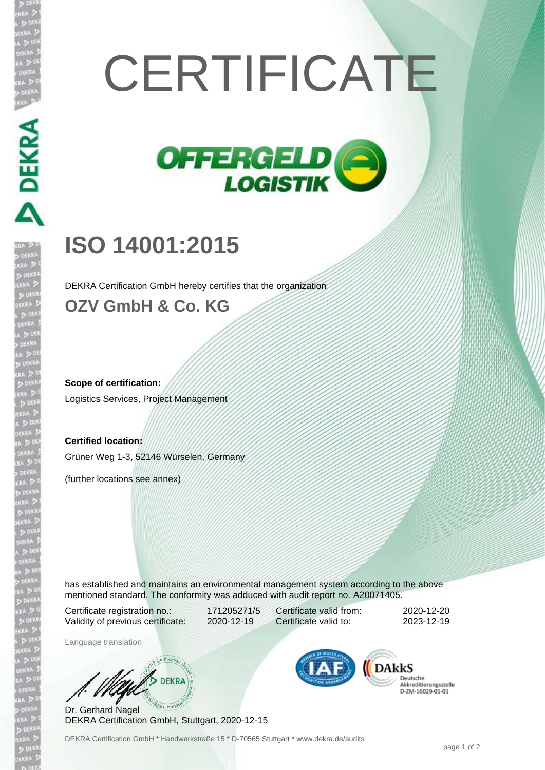## **CERTIFICATE**



## **ISO 14001:2015**

**DEKRA** 

DEKRA Certification GmbH hereby certifies that the organization

## **OZV GmbH & Co. KG**

**Scope of certification:** Logistics Services, Project Management

**Certified location:** Grüner Weg 1-3, 52146 Würselen, Germany

(further locations see annex)

has established and maintains an environmental management system according to the above mentioned standard. The conformity was adduced with audit report no. A20071405.

Certificate registration no.: 171205271/5 Validity of previous certificate: 2020-12-19

Certificate valid from: 2020-12-20 Certificate valid to: 2023-12-19

Language translation

**B** DEKRA

Dr. Gerhard Nagel DEKRA Certification GmbH, Stuttgart, 2020-12-15



Deutsche Scutsene<br>Akkreditierungsstelle<br>D-ZM-16029-01-01